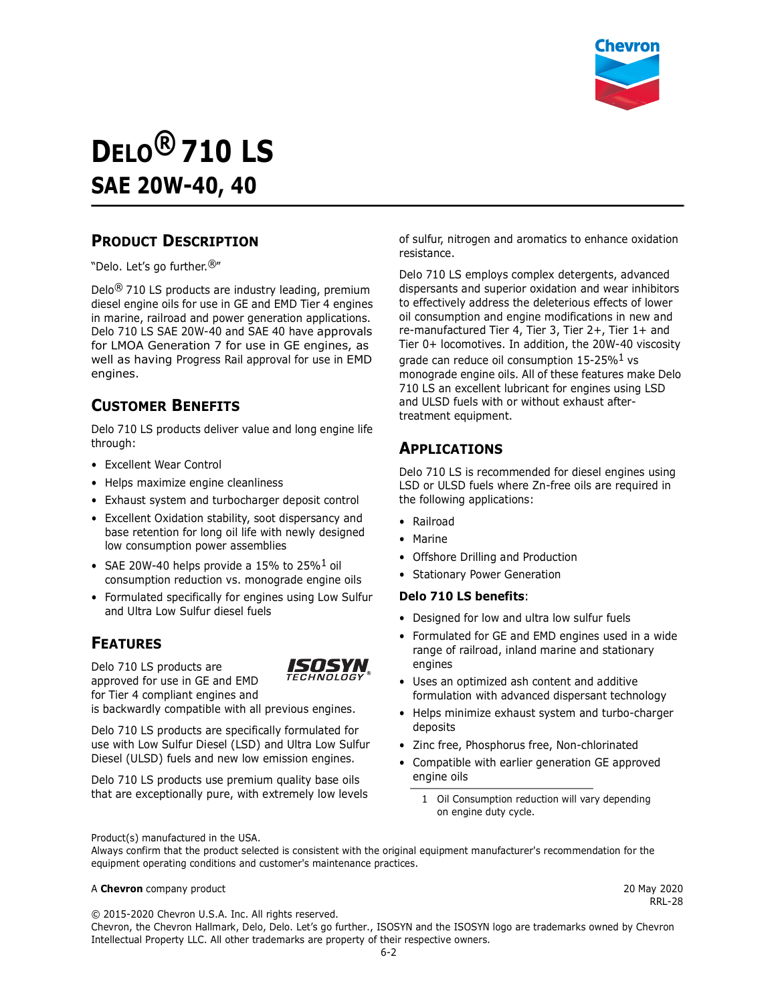

# **DELO® 710 LS SAE 20W-40, 40**

#### **PRODUCT DESCRIPTION**

"Delo. Let's go further.®"

Delo<sup>®</sup> 710 LS products are industry leading, premium diesel engine oils for use in GE and EMD Tier 4 engines in marine, railroad and power generation applications. Delo 710 LS SAE 20W-40 and SAE 40 have approvals for LMOA Generation 7 for use in GE engines, as well as having Progress Rail approval for use in EMD engines.

#### **CUSTOMER BENEFITS**

Delo 710 LS products deliver value and long engine life through:

- Excellent Wear Control
- Helps maximize engine cleanliness
- Exhaust system and turbocharger deposit control
- Excellent Oxidation stability, soot dispersancy and base retention for long oil life with newly designed low consumption power assemblies
- SAE 20W-40 helps provide a 15% to 25% $^1$  oil consumption reduction vs. monograde engine oils
- Formulated specifically for engines using Low Sulfur and Ultra Low Sulfur diesel fuels

#### **FEATURES**

Delo 710 LS products are approved for use in GE and EMD for Tier 4 compliant engines and



is backwardly compatible with all previous engines.

Delo 710 LS products are specifically formulated for use with Low Sulfur Diesel (LSD) and Ultra Low Sulfur Diesel (ULSD) fuels and new low emission engines.

Delo 710 LS products use premium quality base oils that are exceptionally pure, with extremely low levels of sulfur, nitrogen and aromatics to enhance oxidation resistance.

Delo 710 LS employs complex detergents, advanced dispersants and superior oxidation and wear inhibitors to effectively address the deleterious effects of lower oil consumption and engine modifications in new and re-manufactured Tier 4, Tier 3, Tier 2+, Tier 1+ and Tier 0+ locomotives. In addition, the 20W-40 viscosity grade can reduce oil consumption  $15-25\%$ <sup>1</sup> vs monograde engine oils. All of these features make Delo 710 LS an excellent lubricant for engines using LSD and ULSD fuels with or without exhaust aftertreatment equipment.

## **APPLICATIONS**

Delo 710 LS is recommended for diesel engines using LSD or ULSD fuels where Zn-free oils are required in the following applications:

- Railroad
- Marine
- Offshore Drilling and Production
- Stationary Power Generation

#### **Delo 710 LS benefits**:

- Designed for low and ultra low sulfur fuels
- Formulated for GE and EMD engines used in a wide range of railroad, inland marine and stationary engines
- Uses an optimized ash content and additive formulation with advanced dispersant technology
- Helps minimize exhaust system and turbo-charger deposits
- Zinc free, Phosphorus free, Non-chlorinated
- Compatible with earlier generation GE approved engine oils
	- 1 Oil Consumption reduction will vary depending on engine duty cycle.

Product(s) manufactured in the USA.

Always confirm that the product selected is consistent with the original equipment manufacturer's recommendation for the equipment operating conditions and customer's maintenance practices.

#### A **Chevron** company product 20 May 2020

RRL-28

© 2015-2020 Chevron U.S.A. Inc. All rights reserved.

Chevron, the Chevron Hallmark, Delo, Delo. Let's go further., ISOSYN and the ISOSYN logo are trademarks owned by Chevron Intellectual Property LLC. All other trademarks are property of their respective owners.